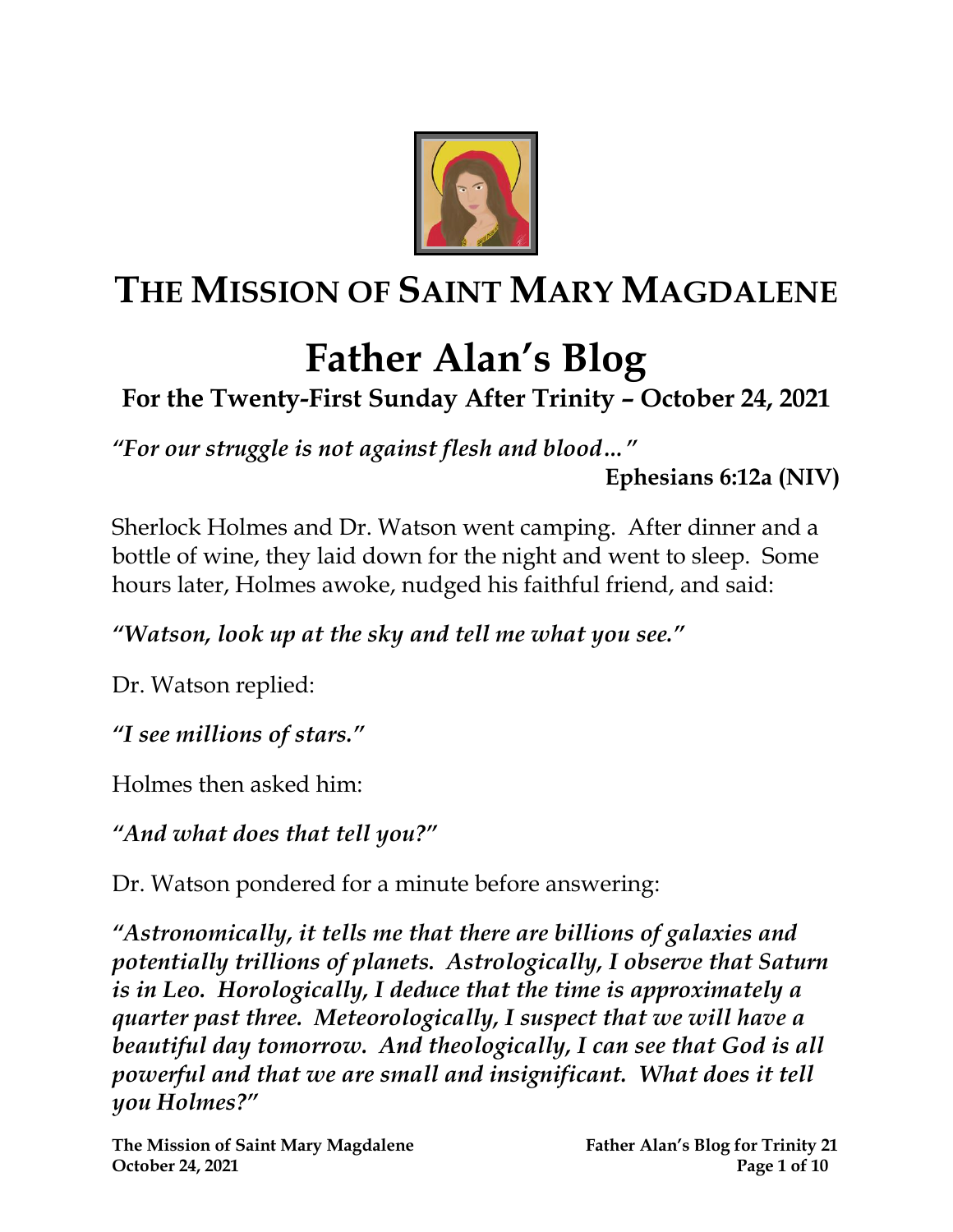

## **THE MISSION OF SAINT MARY MAGDALENE**

# **Father Alan's Blog**

### **For the Twenty-First Sunday After Trinity – October 24, 2021**

*"For our struggle is not against flesh and blood…"*

**Ephesians 6:12a (NIV)**

Sherlock Holmes and Dr. Watson went camping. After dinner and a bottle of wine, they laid down for the night and went to sleep. Some hours later, Holmes awoke, nudged his faithful friend, and said:

*"Watson, look up at the sky and tell me what you see."*

Dr. Watson replied:

*"I see millions of stars."*

Holmes then asked him:

*"And what does that tell you?"*

Dr. Watson pondered for a minute before answering:

*"Astronomically, it tells me that there are billions of galaxies and potentially trillions of planets. Astrologically, I observe that Saturn is in Leo. Horologically, I deduce that the time is approximately a quarter past three. Meteorologically, I suspect that we will have a beautiful day tomorrow. And theologically, I can see that God is all powerful and that we are small and insignificant. What does it tell you Holmes?"*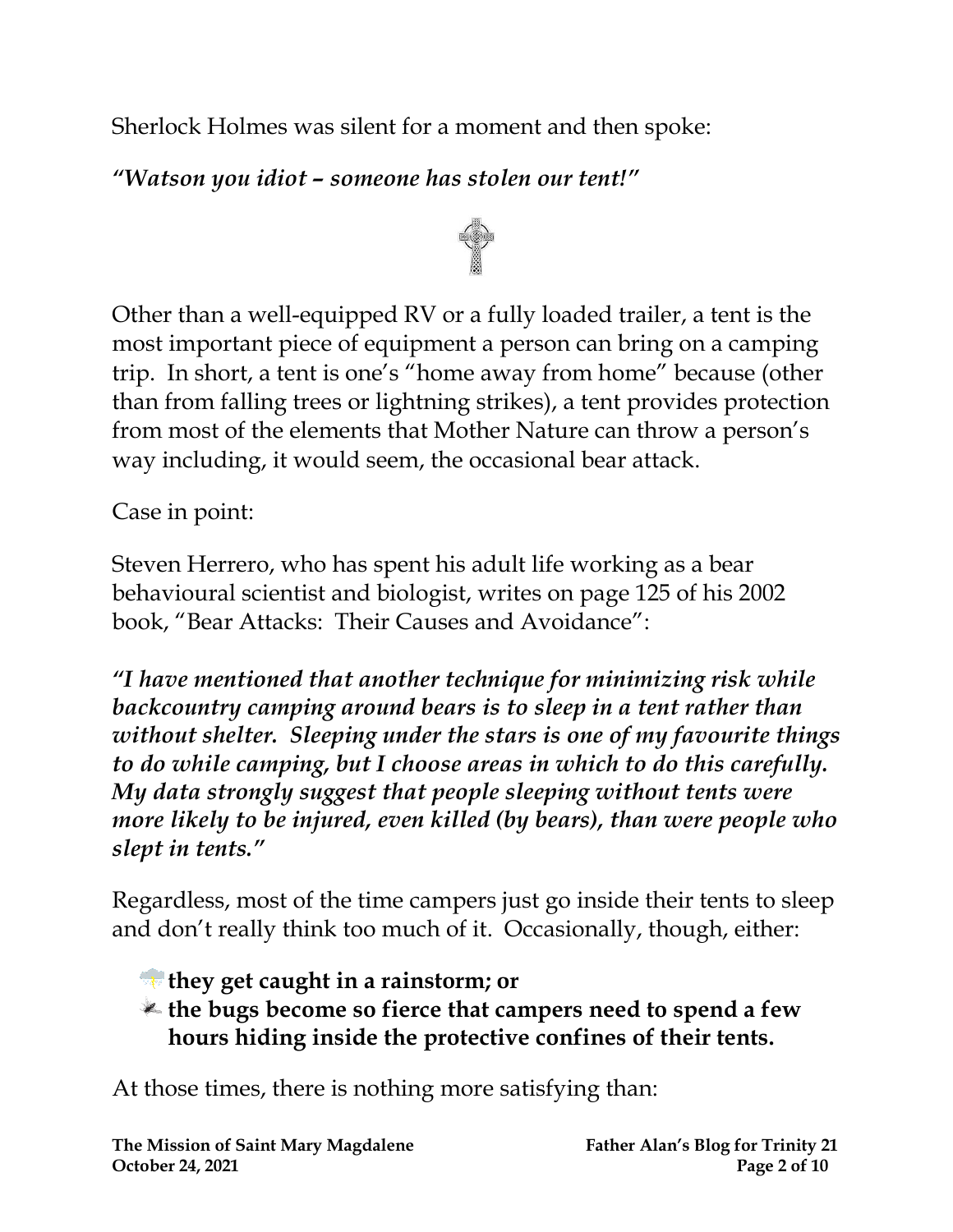Sherlock Holmes was silent for a moment and then spoke:

#### *"Watson you idiot – someone has stolen our tent!"*



Other than a well-equipped RV or a fully loaded trailer, a tent is the most important piece of equipment a person can bring on a camping trip. In short, a tent is one's "home away from home" because (other than from falling trees or lightning strikes), a tent provides protection from most of the elements that Mother Nature can throw a person's way including, it would seem, the occasional bear attack.

Case in point:

Steven Herrero, who has spent his adult life working as a bear behavioural scientist and biologist, writes on page 125 of his 2002 book, "Bear Attacks: Their Causes and Avoidance":

*"I have mentioned that another technique for minimizing risk while backcountry camping around bears is to sleep in a tent rather than without shelter. Sleeping under the stars is one of my favourite things to do while camping, but I choose areas in which to do this carefully. My data strongly suggest that people sleeping without tents were more likely to be injured, even killed (by bears), than were people who slept in tents."*

Regardless, most of the time campers just go inside their tents to sleep and don't really think too much of it. Occasionally, though, either:

- **they get caught in a rainstorm; or**
- **the bugs become so fierce that campers need to spend a few hours hiding inside the protective confines of their tents.**

At those times, there is nothing more satisfying than: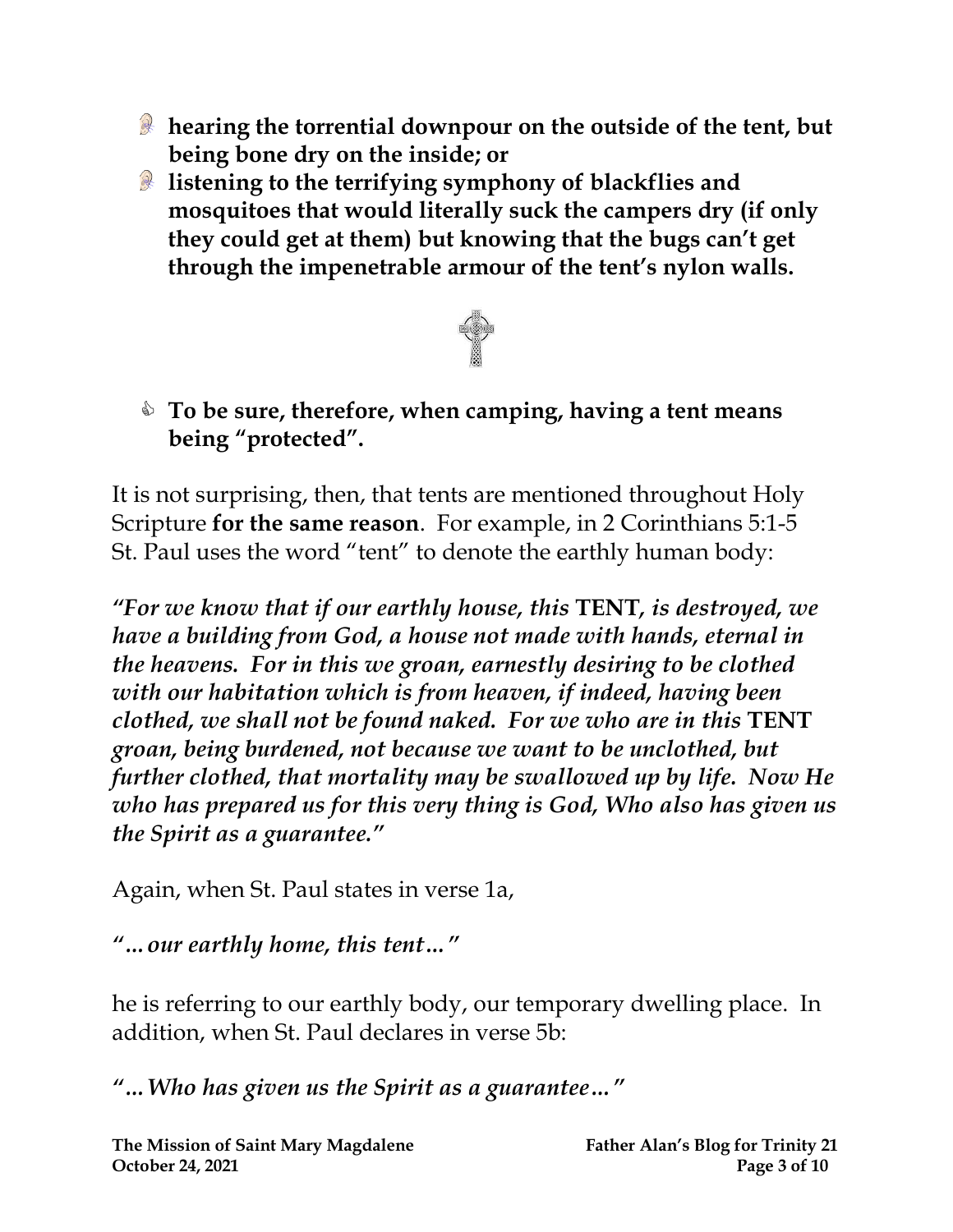- **hearing the torrential downpour on the outside of the tent, but being bone dry on the inside; or**
- **listening to the terrifying symphony of blackflies and mosquitoes that would literally suck the campers dry (if only they could get at them) but knowing that the bugs can't get through the impenetrable armour of the tent's nylon walls.**



#### **To be sure, therefore, when camping, having a tent means being "protected".**

It is not surprising, then, that tents are mentioned throughout Holy Scripture **for the same reason**. For example, in 2 Corinthians 5:1-5 St. Paul uses the word "tent" to denote the earthly human body:

*"For we know that if our earthly house, this* **TENT***, is destroyed, we have a building from God, a house not made with hands, eternal in the heavens. For in this we groan, earnestly desiring to be clothed with our habitation which is from heaven, if indeed, having been clothed, we shall not be found naked. For we who are in this* **TENT** *groan, being burdened, not because we want to be unclothed, but further clothed, that mortality may be swallowed up by life. Now He who has prepared us for this very thing is God, Who also has given us the Spirit as a guarantee."*

Again, when St. Paul states in verse 1a,

#### *"…our earthly home, this tent…"*

he is referring to our earthly body, our temporary dwelling place. In addition, when St. Paul declares in verse 5b:

*"…Who has given us the Spirit as a guarantee…"*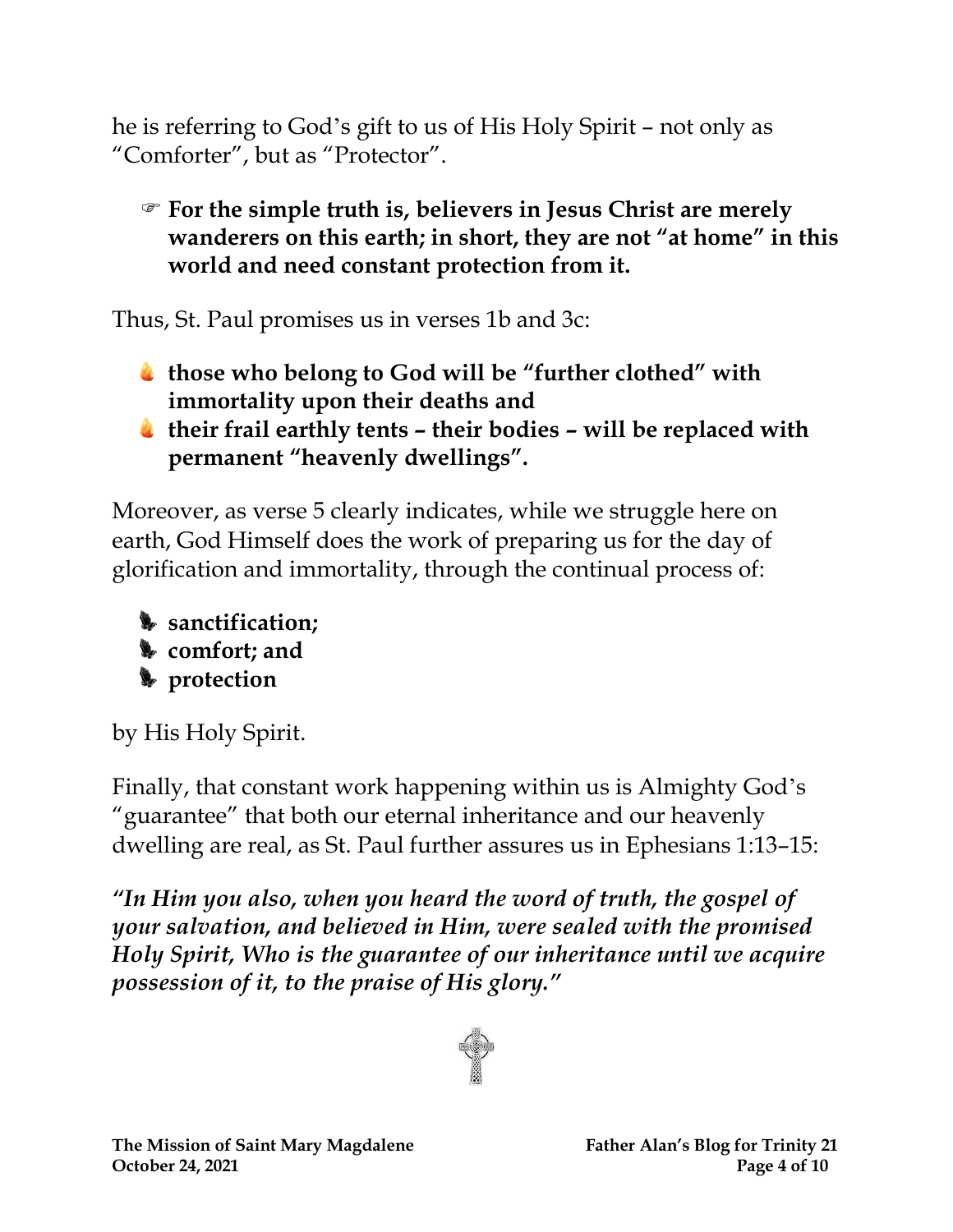he is referring to God's gift to us of His Holy Spirit – not only as "Comforter", but as "Protector".

 **For the simple truth is, believers in Jesus Christ are merely wanderers on this earth; in short, they are not "at home" in this world and need constant protection from it.**

Thus, St. Paul promises us in verses 1b and 3c:

- **those who belong to God will be "further clothed" with immortality upon their deaths and**
- **their frail earthly tents – their bodies – will be replaced with permanent "heavenly dwellings".**

Moreover, as verse 5 clearly indicates, while we struggle here on earth, God Himself does the work of preparing us for the day of glorification and immortality, through the continual process of:



by His Holy Spirit.

Finally, that constant work happening within us is Almighty God's "guarantee" that both our eternal inheritance and our heavenly dwelling are real, as St. Paul further assures us in Ephesians 1:13–15:

*"In Him you also, when you heard the word of truth, the gospel of your salvation, and believed in Him, were sealed with the promised Holy Spirit, Who is the guarantee of our inheritance until we acquire possession of it, to the praise of His glory."*

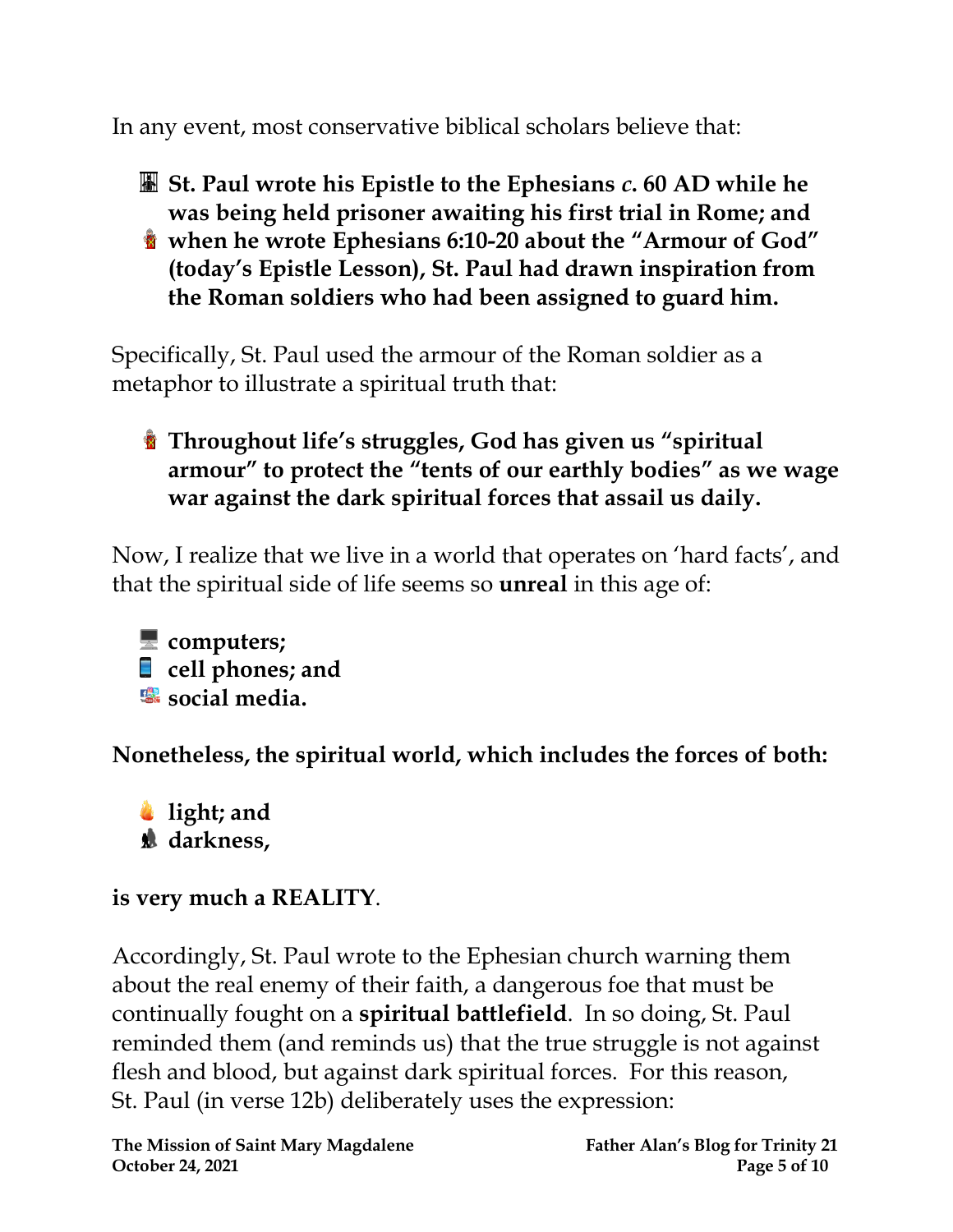In any event, most conservative biblical scholars believe that:

- **St. Paul wrote his Epistle to the Ephesians** *c***. 60 AD while he was being held prisoner awaiting his first trial in Rome; and**
- **when he wrote Ephesians 6:10-20 about the "Armour of God" (today's Epistle Lesson), St. Paul had drawn inspiration from the Roman soldiers who had been assigned to guard him.**

Specifically, St. Paul used the armour of the Roman soldier as a metaphor to illustrate a spiritual truth that:

**Throughout life's struggles, God has given us "spiritual armour" to protect the "tents of our earthly bodies" as we wage war against the dark spiritual forces that assail us daily.**

Now, I realize that we live in a world that operates on 'hard facts', and that the spiritual side of life seems so **unreal** in this age of:

**computers; cell phones; and •** social media.

**Nonetheless, the spiritual world, which includes the forces of both:**

**light; and darkness,**

#### **is very much a REALITY**.

Accordingly, St. Paul wrote to the Ephesian church warning them about the real enemy of their faith, a dangerous foe that must be continually fought on a **spiritual battlefield**. In so doing, St. Paul reminded them (and reminds us) that the true struggle is not against flesh and blood, but against dark spiritual forces. For this reason, St. Paul (in verse 12b) deliberately uses the expression: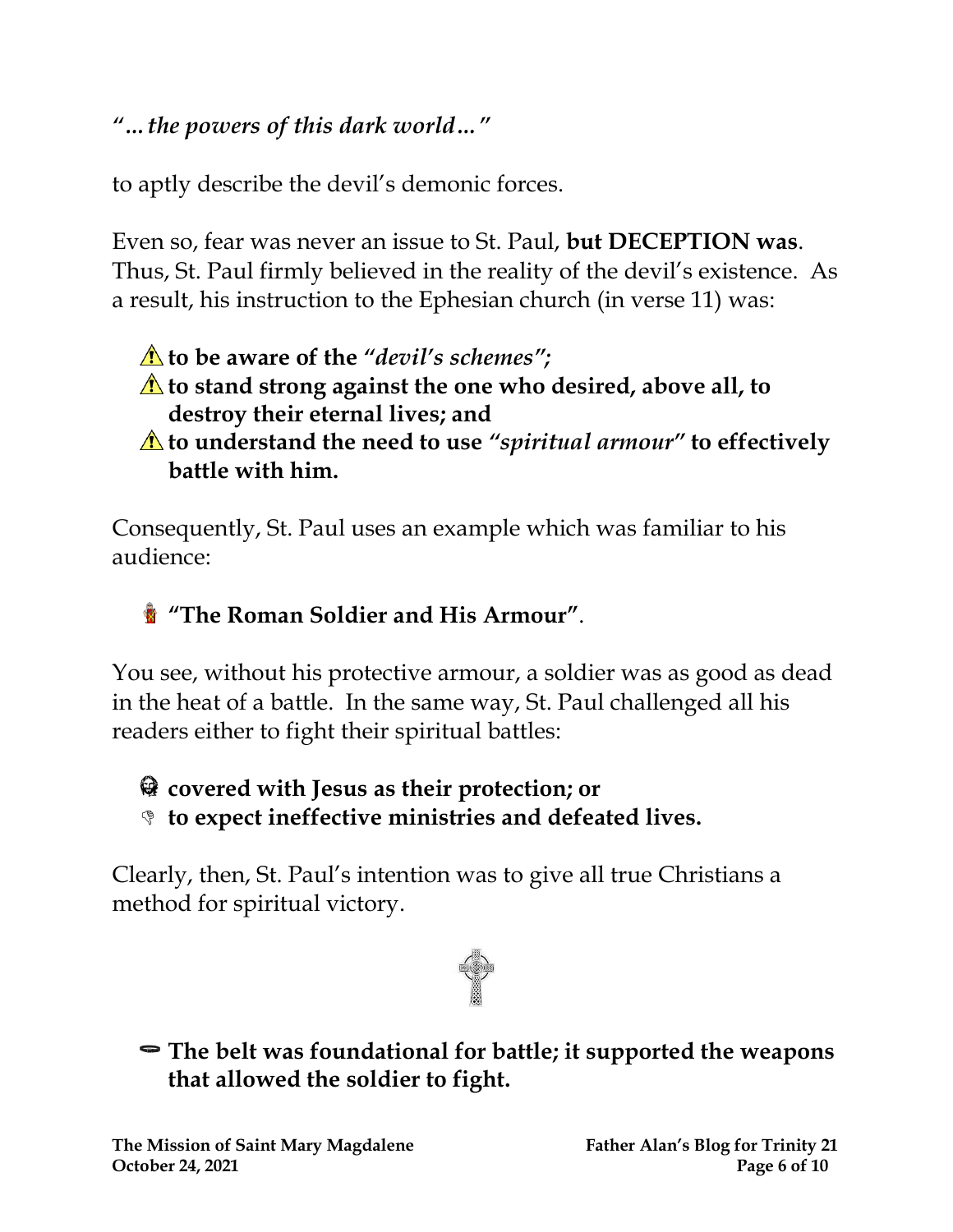#### *"…the powers of this dark world…"*

to aptly describe the devil's demonic forces.

Even so, fear was never an issue to St. Paul, **but DECEPTION was**. Thus, St. Paul firmly believed in the reality of the devil's existence. As a result, his instruction to the Ephesian church (in verse 11) was:

#### **to be aware of the** *"devil's schemes";*

- **to stand strong against the one who desired, above all, to destroy their eternal lives; and**
- **to understand the need to use** *"spiritual armour"* **to effectively battle with him.**

Consequently, St. Paul uses an example which was familiar to his audience:

#### **"The Roman Soldier and His Armour"**.

You see, without his protective armour, a soldier was as good as dead in the heat of a battle. In the same way, St. Paul challenged all his readers either to fight their spiritual battles:

#### **covered with Jesus as their protection; or**

**to expect ineffective ministries and defeated lives.**

Clearly, then, St. Paul's intention was to give all true Christians a method for spiritual victory.



**The belt was foundational for battle; it supported the weapons that allowed the soldier to fight.**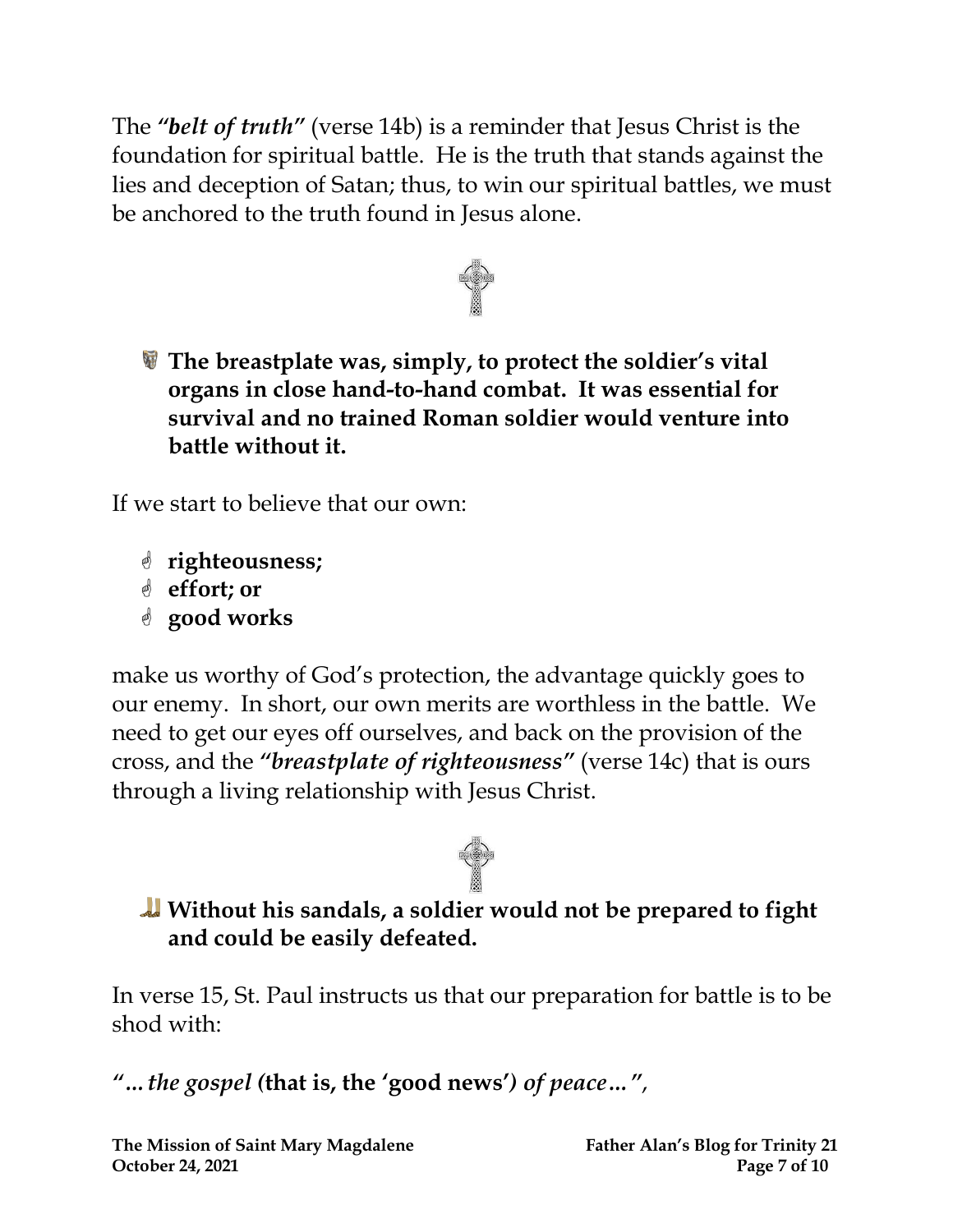The *"belt of truth"* (verse 14b) is a reminder that Jesus Christ is the foundation for spiritual battle. He is the truth that stands against the lies and deception of Satan; thus, to win our spiritual battles, we must be anchored to the truth found in Jesus alone.



**The breastplate was, simply, to protect the soldier's vital organs in close hand-to-hand combat. It was essential for survival and no trained Roman soldier would venture into battle without it.** 

If we start to believe that our own:

- **righteousness;**
- **effort; or**
- **good works**

make us worthy of God's protection, the advantage quickly goes to our enemy. In short, our own merits are worthless in the battle. We need to get our eyes off ourselves, and back on the provision of the cross, and the *"breastplate of righteousness"* (verse 14c) that is ours through a living relationship with Jesus Christ.

## **Without his sandals, a soldier would not be prepared to fight and could be easily defeated.**

In verse 15, St. Paul instructs us that our preparation for battle is to be shod with:

*"…the gospel (***that is, the 'good news'***) of peace…"*,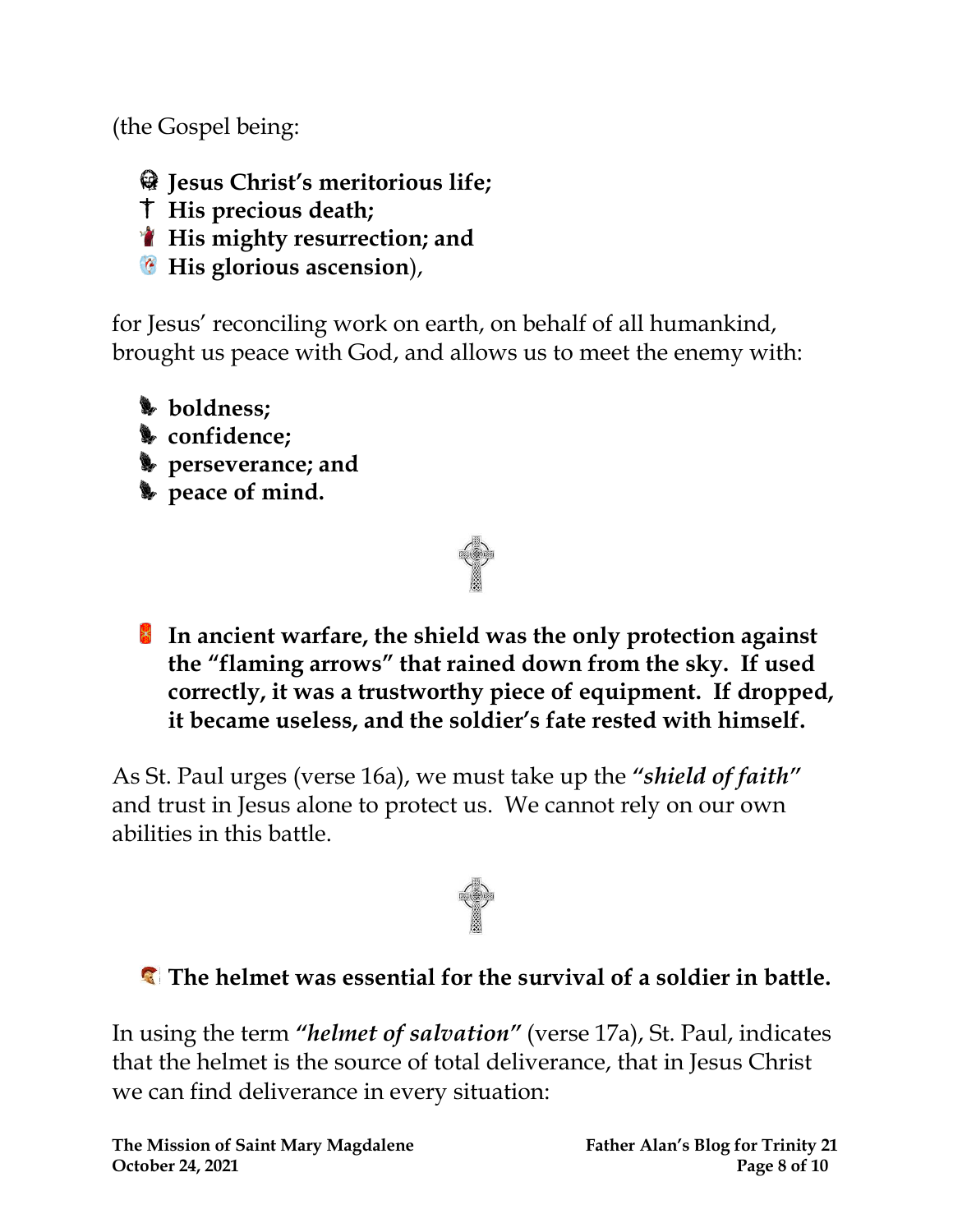(the Gospel being:

- **Jesus Christ's meritorious life;**
- **His precious death;**
- **His mighty resurrection; and**
- **His glorious ascension**),

for Jesus' reconciling work on earth, on behalf of all humankind, brought us peace with God, and allows us to meet the enemy with:

- **boldness;**
- **confidence;**
- **perseverance; and**
- **peace of mind.**



**In ancient warfare, the shield was the only protection against the "flaming arrows" that rained down from the sky. If used correctly, it was a trustworthy piece of equipment. If dropped, it became useless, and the soldier's fate rested with himself.**

As St. Paul urges (verse 16a), we must take up the *"shield of faith"* and trust in Jesus alone to protect us. We cannot rely on our own abilities in this battle.



#### **The helmet was essential for the survival of a soldier in battle.**

In using the term *"helmet of salvation"* (verse 17a), St. Paul, indicates that the helmet is the source of total deliverance, that in Jesus Christ we can find deliverance in every situation: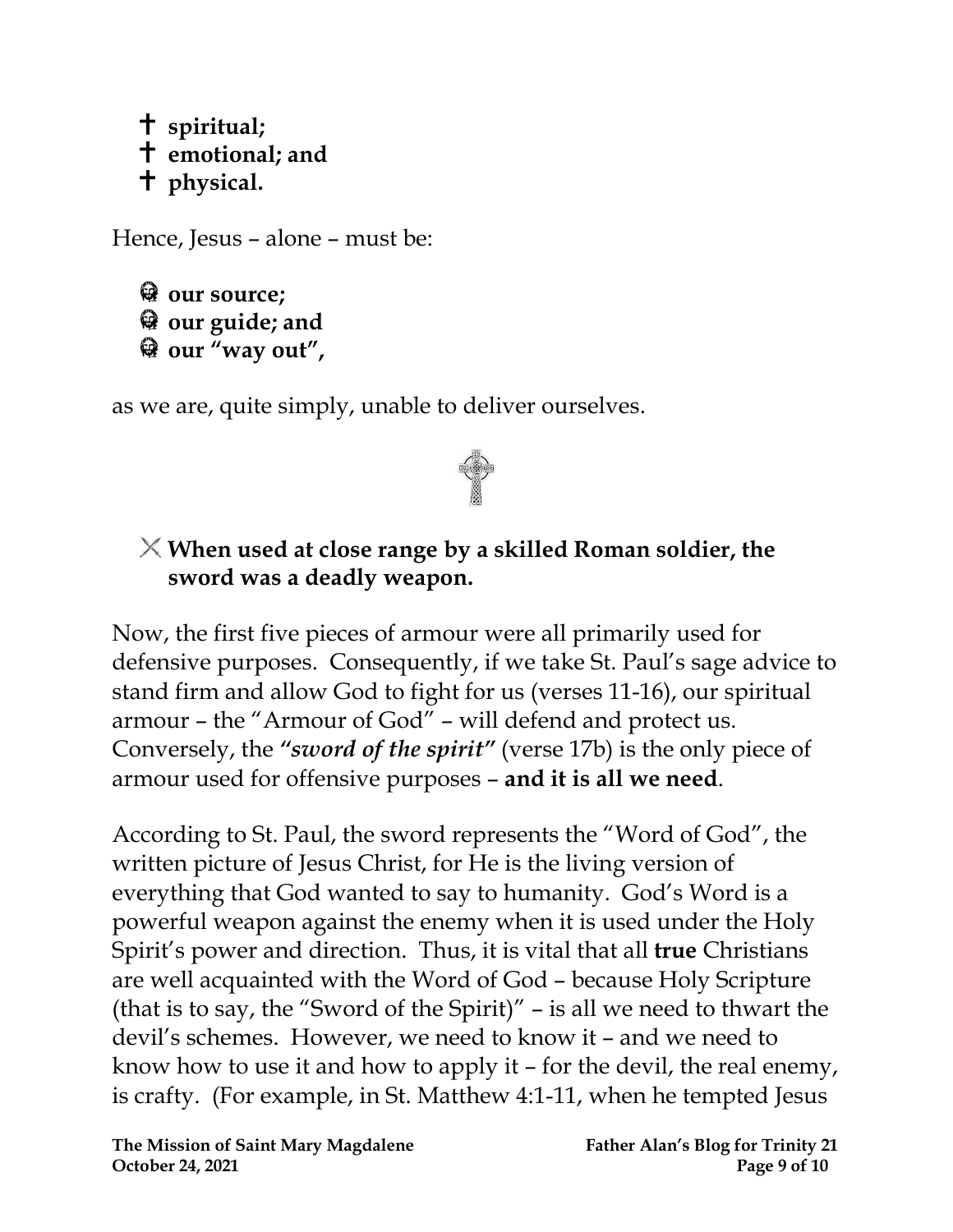#### **spiritual; emotional; and physical.**

Hence, Jesus – alone – must be:

**our source; our guide; and our "way out" ,**

as we are, quite simply, unable to deliver ourselves.

#### **When used at close range by a skilled Roman soldier, the sword was a deadly weapon.**

Now, the first five pieces of armour were all primarily used for defensive purposes. Consequently, if we take St. Paul's sage advice to stand firm and allow God to fight for us (verses 11-16), our spiritual armour – the "Armour of God" – will defend and protect us. Conversely, the *"sword of the spirit"* (verse 17b) is the only piece of armour used for offensive purposes – **and it is all we need**.

According to St. Paul, the sword represents the "Word of God", the written picture of Jesus Christ, for He is the living version of everything that God wanted to say to humanity. God's Word is a powerful weapon against the enemy when it is used under the Holy Spirit's power and direction. Thus, it is vital that all **true** Christians are well acquainted with the Word of God – because Holy Scripture (that is to say, the "Sword of the Spirit)" – is all we need to thwart the devil's schemes. However, we need to know it – and we need to know how to use it and how to apply it – for the devil, the real enemy, is crafty. (For example, in St. Matthew 4:1-11, when he tempted Jesus